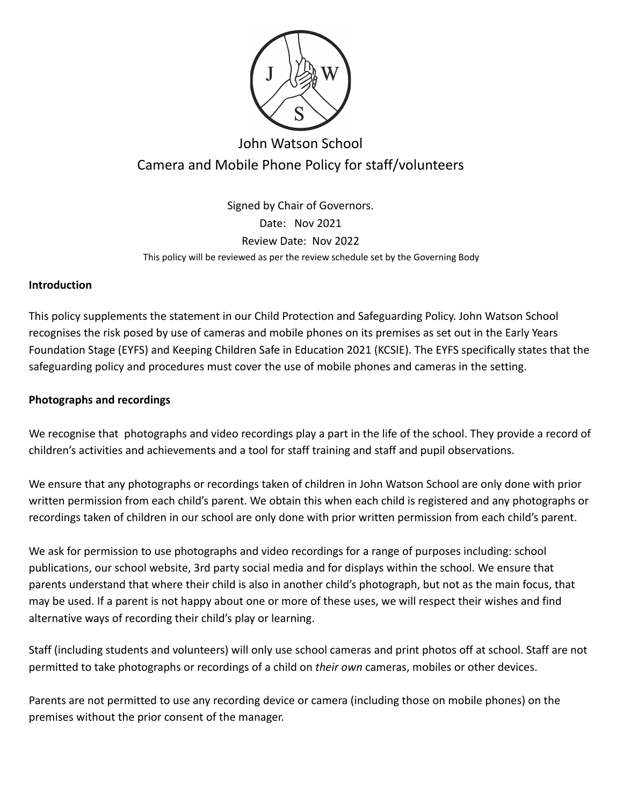

# John Watson School Camera and Mobile Phone Policy for staff/volunteers

Signed by Chair of Governors. Date: Nov 2021 Review Date: Nov 2022 This policy will be reviewed as per the review schedule set by the Governing Body

#### **Introduction**

This policy supplements the statement in our Child Protection and Safeguarding Policy. John Watson School recognises the risk posed by use of cameras and mobile phones on its premises as set out in the Early Years Foundation Stage (EYFS) and Keeping Children Safe in Education 2021 (KCSIE). The EYFS specifically states that the safeguarding policy and procedures must cover the use of mobile phones and cameras in the setting.

### **Photographs and recordings**

We recognise that photographs and video recordings play a part in the life of the school. They provide a record of children's activities and achievements and a tool for staff training and staff and pupil observations.

We ensure that any photographs or recordings taken of children in John Watson School are only done with prior written permission from each child's parent. We obtain this when each child is registered and any photographs or recordings taken of children in our school are only done with prior written permission from each child's parent.

We ask for permission to use photographs and video recordings for a range of purposes including: school publications, our school website, 3rd party social media and for displays within the school. We ensure that parents understand that where their child is also in another child's photograph, but not as the main focus, that may be used. If a parent is not happy about one or more of these uses, we will respect their wishes and find alternative ways of recording their child's play or learning.

Staff (including students and volunteers) will only use school cameras and print photos off at school. Staff are not permitted to take photographs or recordings of a child on *their own* cameras, mobiles or other devices.

Parents are not permitted to use any recording device or camera (including those on mobile phones) on the premises without the prior consent of the manager.